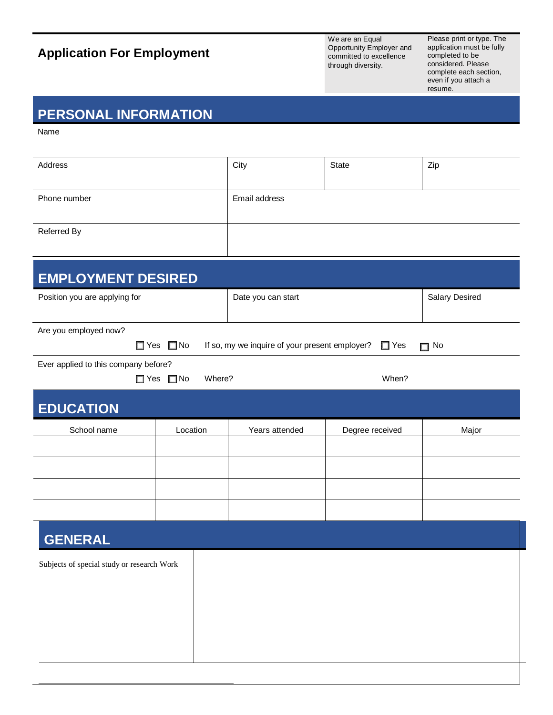# **Application For Employment**

We are an Equal Opportunity Employer and committed to excellence through diversity.

Please print or type. The application must be fully completed to be considered. Please complete each section, even if you attach a resume.

#### **PERSONAL INFORMATION**

Name

| Address      | City          | State | Zip |
|--------------|---------------|-------|-----|
| Phone number | Email address |       |     |
| Referred By  |               |       |     |

| <b>EMPLOYMENT DESIRED</b>                  |                                |                                                |                 |                |
|--------------------------------------------|--------------------------------|------------------------------------------------|-----------------|----------------|
| Position you are applying for              |                                | Date you can start                             |                 | Salary Desired |
|                                            |                                |                                                |                 |                |
| Are you employed now?                      |                                |                                                |                 |                |
| $\Box$ Yes                                 | $\Box$ No                      | If so, my we inquire of your present employer? | $\Box$ Yes      | $\Box$ No      |
| Ever applied to this company before?       |                                |                                                |                 |                |
|                                            | $\Box$ Yes $\Box$ No<br>Where? |                                                | When?           |                |
| <b>EDUCATION</b>                           |                                |                                                |                 |                |
| School name                                | Location                       | Years attended                                 | Degree received | Major          |
|                                            |                                |                                                |                 |                |
|                                            |                                |                                                |                 |                |
|                                            |                                |                                                |                 |                |
|                                            |                                |                                                |                 |                |
| <b>GENERAL</b>                             |                                |                                                |                 |                |
| Subjects of special study or research Work |                                |                                                |                 |                |
|                                            |                                |                                                |                 |                |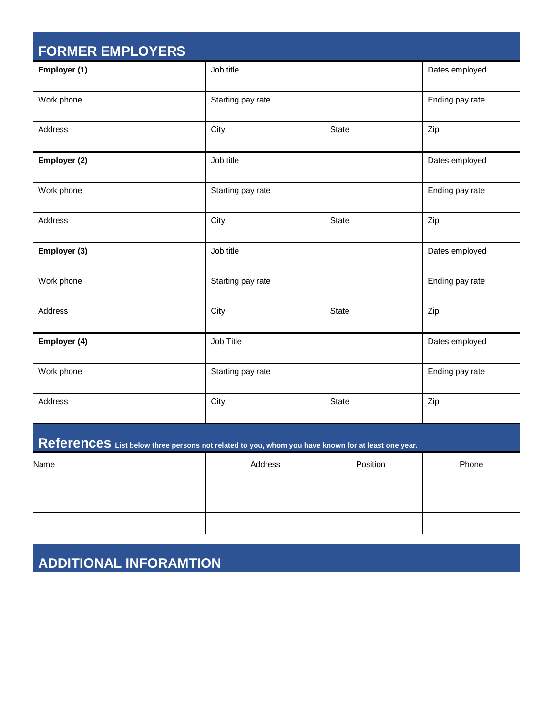| <b>FORMER EMPLOYERS</b> |                   |              |                 |
|-------------------------|-------------------|--------------|-----------------|
| Employer (1)            | Job title         |              | Dates employed  |
| Work phone              | Starting pay rate |              | Ending pay rate |
| Address                 | City              | State        | Zip             |
| Employer (2)            | Job title         |              | Dates employed  |
| Work phone              | Starting pay rate |              | Ending pay rate |
| Address                 | City              | <b>State</b> | Zip             |
| Employer (3)            | Job title         |              | Dates employed  |
| Work phone              | Starting pay rate |              | Ending pay rate |
| Address                 | City              | <b>State</b> | Zip             |
| Employer (4)            | Job Title         |              | Dates employed  |
| Work phone              | Starting pay rate |              | Ending pay rate |
| Address                 | City              | <b>State</b> | Zip             |

## **References List below three persons not related to you, whom you have known for at least one year.**

| Name | Address | Position | Phone |
|------|---------|----------|-------|
|      |         |          |       |
|      |         |          |       |
|      |         |          |       |
|      |         |          |       |

## **ADDITIONAL INFORAMTION**